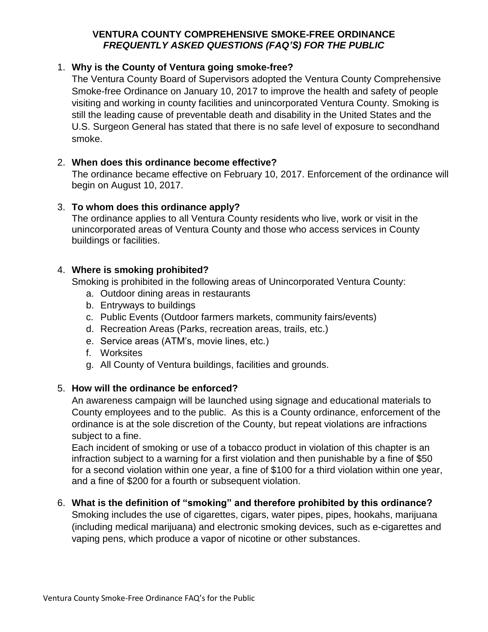### **VENTURA COUNTY COMPREHENSIVE SMOKE-FREE ORDINANCE** *FREQUENTLY ASKED QUESTIONS (FAQ'S) FOR THE PUBLIC*

# 1. **Why is the County of Ventura going smoke-free?**

The Ventura County Board of Supervisors adopted the Ventura County Comprehensive Smoke-free Ordinance on January 10, 2017 to improve the health and safety of people visiting and working in county facilities and unincorporated Ventura County. Smoking is still the leading cause of preventable death and disability in the United States and the U.S. Surgeon General has stated that there is no safe level of exposure to secondhand smoke.

# 2. **When does this ordinance become effective?**

The ordinance became effective on February 10, 2017. Enforcement of the ordinance will begin on August 10, 2017.

# 3. **To whom does this ordinance apply?**

The ordinance applies to all Ventura County residents who live, work or visit in the unincorporated areas of Ventura County and those who access services in County buildings or facilities.

# 4. **Where is smoking prohibited?**

Smoking is prohibited in the following areas of Unincorporated Ventura County:

- a. Outdoor dining areas in restaurants
- b. Entryways to buildings
- c. Public Events (Outdoor farmers markets, community fairs/events)
- d. Recreation Areas (Parks, recreation areas, trails, etc.)
- e. Service areas (ATM's, movie lines, etc.)
- f. Worksites
- g. All County of Ventura buildings, facilities and grounds.

#### 5. **How will the ordinance be enforced?**

An awareness campaign will be launched using signage and educational materials to County employees and to the public. As this is a County ordinance, enforcement of the ordinance is at the sole discretion of the County, but repeat violations are infractions subject to a fine.

Each incident of smoking or use of a tobacco product in violation of this chapter is an infraction subject to a warning for a first violation and then punishable by a fine of \$50 for a second violation within one year, a fine of \$100 for a third violation within one year, and a fine of \$200 for a fourth or subsequent violation.

#### 6. **What is the definition of "smoking" and therefore prohibited by this ordinance?**

Smoking includes the use of cigarettes, cigars, water pipes, pipes, hookahs, marijuana (including medical marijuana) and electronic smoking devices, such as e-cigarettes and vaping pens, which produce a vapor of nicotine or other substances.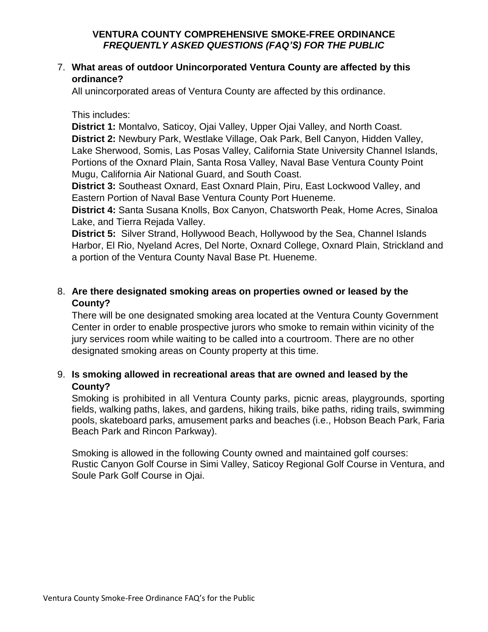### **VENTURA COUNTY COMPREHENSIVE SMOKE-FREE ORDINANCE** *FREQUENTLY ASKED QUESTIONS (FAQ'S) FOR THE PUBLIC*

# 7. **What areas of outdoor Unincorporated Ventura County are affected by this ordinance?**

All unincorporated areas of Ventura County are affected by this ordinance.

#### This includes:

**District 1:** Montalvo, Saticoy, Ojai Valley, Upper Ojai Valley, and North Coast. **District 2:** Newbury Park, Westlake Village, Oak Park, Bell Canyon, Hidden Valley, Lake Sherwood, Somis, Las Posas Valley, California State University Channel Islands, Portions of the Oxnard Plain, Santa Rosa Valley, Naval Base Ventura County Point Mugu, California Air National Guard, and South Coast.

**District 3:** Southeast Oxnard, East Oxnard Plain, Piru, East Lockwood Valley, and Eastern Portion of Naval Base Ventura County Port Hueneme.

**District 4:** Santa Susana Knolls, Box Canyon, Chatsworth Peak, Home Acres, Sinaloa Lake, and Tierra Rejada Valley.

**District 5:** Silver Strand, Hollywood Beach, Hollywood by the Sea, Channel Islands Harbor, El Rio, Nyeland Acres, Del Norte, Oxnard College, Oxnard Plain, Strickland and a portion of the Ventura County Naval Base Pt. Hueneme.

# 8. **Are there designated smoking areas on properties owned or leased by the County?**

There will be one designated smoking area located at the Ventura County Government Center in order to enable prospective jurors who smoke to remain within vicinity of the jury services room while waiting to be called into a courtroom. There are no other designated smoking areas on County property at this time.

# 9. **Is smoking allowed in recreational areas that are owned and leased by the County?**

Smoking is prohibited in all Ventura County parks, picnic areas, playgrounds, sporting fields, walking paths, lakes, and gardens, hiking trails, bike paths, riding trails, swimming pools, skateboard parks, amusement parks and beaches (i.e., Hobson Beach Park, Faria Beach Park and Rincon Parkway).

Smoking is allowed in the following County owned and maintained golf courses: Rustic Canyon Golf Course in Simi Valley, Saticoy Regional Golf Course in Ventura, and Soule Park Golf Course in Ojai.